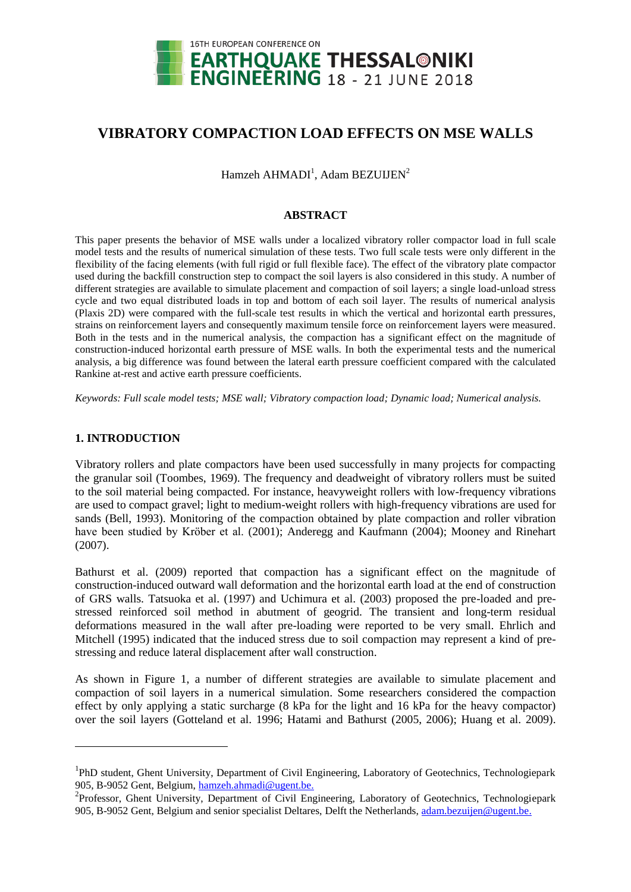

# **VIBRATORY COMPACTION LOAD EFFECTS ON MSE WALLS**

 $Hamzeh AHMADI<sup>1</sup>$ , Adam BEZUIJEN<sup>2</sup>

# **ABSTRACT**

This paper presents the behavior of MSE walls under a localized vibratory roller compactor load in full scale model tests and the results of numerical simulation of these tests. Two full scale tests were only different in the flexibility of the facing elements (with full rigid or full flexible face). The effect of the vibratory plate compactor used during the backfill construction step to compact the soil layers is also considered in this study. A number of different strategies are available to simulate placement and compaction of soil layers; a single load-unload stress cycle and two equal distributed loads in top and bottom of each soil layer. The results of numerical analysis (Plaxis 2D) were compared with the full-scale test results in which the vertical and horizontal earth pressures, strains on reinforcement layers and consequently maximum tensile force on reinforcement layers were measured. Both in the tests and in the numerical analysis, the compaction has a significant effect on the magnitude of construction-induced horizontal earth pressure of MSE walls. In both the experimental tests and the numerical analysis, a big difference was found between the lateral earth pressure coefficient compared with the calculated Rankine at-rest and active earth pressure coefficients.

*Keywords: Full scale model tests; MSE wall; Vibratory compaction load; Dynamic load; Numerical analysis.*

# **1. INTRODUCTION**

l

Vibratory rollers and plate compactors have been used successfully in many projects for compacting the granular soil (Toombes, 1969). The frequency and deadweight of vibratory rollers must be suited to the soil material being compacted. For instance, heavyweight rollers with low-frequency vibrations are used to compact gravel; light to medium-weight rollers with high-frequency vibrations are used for sands (Bell, 1993). Monitoring of the compaction obtained by plate compaction and roller vibration have been studied by Kröber et al. (2001); Anderegg and Kaufmann (2004); Mooney and Rinehart (2007).

Bathurst et al. (2009) reported that compaction has a significant effect on the magnitude of construction-induced outward wall deformation and the horizontal earth load at the end of construction of GRS walls. Tatsuoka et al. (1997) and Uchimura et al. (2003) proposed the pre-loaded and prestressed reinforced soil method in abutment of geogrid. The transient and long-term residual deformations measured in the wall after pre-loading were reported to be very small. Ehrlich and Mitchell (1995) indicated that the induced stress due to soil compaction may represent a kind of prestressing and reduce lateral displacement after wall construction.

As shown in [Figure 1,](#page-1-0) a number of different strategies are available to simulate placement and compaction of soil layers in a numerical simulation. Some researchers considered the compaction effect by only applying a static surcharge (8 kPa for the light and 16 kPa for the heavy compactor) over the soil layers (Gotteland et al. 1996; Hatami and Bathurst (2005, 2006); Huang et al. 2009).

<sup>&</sup>lt;sup>1</sup>PhD student, Ghent University, Department of Civil Engineering, Laboratory of Geotechnics, Technologiepark 905, B-9052 Gent, Belgium, [hamzeh.ahmadi@ugent.be.](mailto:hamzeh.ahmadi@ugent.be)

<sup>&</sup>lt;sup>2</sup>Professor, Ghent University, Department of Civil Engineering, Laboratory of Geotechnics, Technologiepark 905, B-9052 Gent, Belgium and senior specialist Deltares, Delft the Netherlands, [adam.bezuijen@ugent.be.](mailto:adam.bezuijen@ugent.be)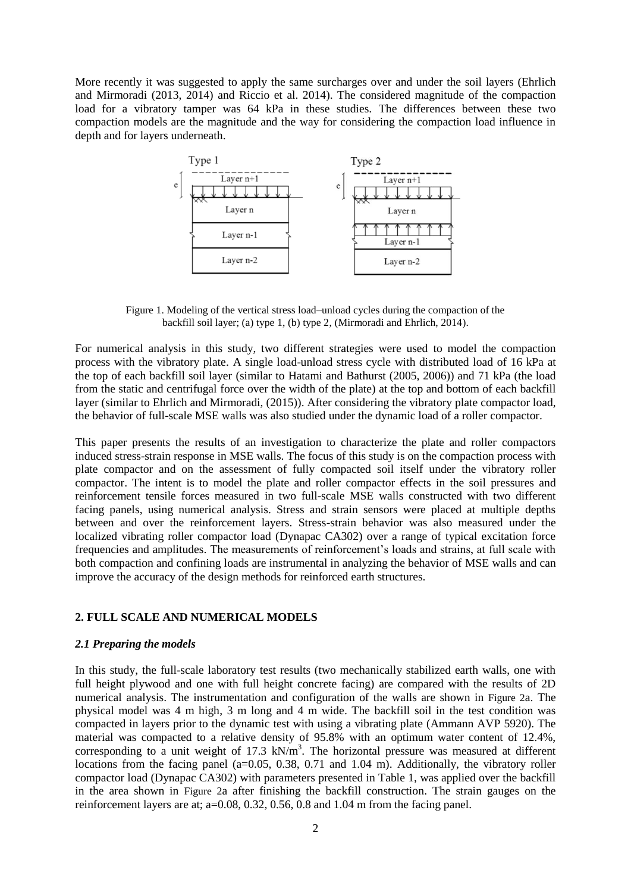More recently it was suggested to apply the same surcharges over and under the soil layers (Ehrlich and Mirmoradi (2013, 2014) and Riccio et al. 2014). The considered magnitude of the compaction load for a vibratory tamper was 64 kPa in these studies. The differences between these two compaction models are the magnitude and the way for considering the compaction load influence in depth and for layers underneath.



<span id="page-1-0"></span>Figure 1. Modeling of the vertical stress load–unload cycles during the compaction of the backfill soil layer; (a) type 1, (b) type 2, (Mirmoradi and Ehrlich, 2014).

For numerical analysis in this study, two different strategies were used to model the compaction process with the vibratory plate. A single load-unload stress cycle with distributed load of 16 kPa at the top of each backfill soil layer (similar to Hatami and Bathurst (2005, 2006)) and 71 kPa (the load from the static and centrifugal force over the width of the plate) at the top and bottom of each backfill layer (similar to Ehrlich and Mirmoradi, (2015)). After considering the vibratory plate compactor load, the behavior of full-scale MSE walls was also studied under the dynamic load of a roller compactor.

This paper presents the results of an investigation to characterize the plate and roller compactors induced stress-strain response in MSE walls. The focus of this study is on the compaction process with plate compactor and on the assessment of fully compacted soil itself under the vibratory roller compactor. The intent is to model the plate and roller compactor effects in the soil pressures and reinforcement tensile forces measured in two full-scale MSE walls constructed with two different facing panels, using numerical analysis. Stress and strain sensors were placed at multiple depths between and over the reinforcement layers. Stress-strain behavior was also measured under the localized vibrating roller compactor load (Dynapac CA302) over a range of typical excitation force frequencies and amplitudes. The measurements of reinforcement's loads and strains, at full scale with both compaction and confining loads are instrumental in analyzing the behavior of MSE walls and can improve the accuracy of the design methods for reinforced earth structures.

# **2. FULL SCALE AND NUMERICAL MODELS**

# *2.1 Preparing the models*

In this study, the full-scale laboratory test results (two mechanically stabilized earth walls, one with full height plywood and one with full height concrete facing) are compared with the results of 2D numerical analysis. The instrumentation and configuration of the walls are shown in [Figure 2](#page-2-0)a. The physical model was 4 m high, 3 m long and 4 m wide. The backfill soil in the test condition was compacted in layers prior to the dynamic test with using a vibrating plate (Ammann AVP 5920). The material was compacted to a relative density of 95.8% with an optimum water content of 12.4%, corresponding to a unit weight of 17.3  $kN/m<sup>3</sup>$ . The horizontal pressure was measured at different locations from the facing panel (a=0.05, 0.38, 0.71 and 1.04 m). Additionally, the vibratory roller compactor load (Dynapac CA302) with parameters presented in [Table 1,](#page-2-1) was applied over the backfill in the area shown in [Figure 2](#page-2-0)a after finishing the backfill construction. The strain gauges on the reinforcement layers are at; a=0.08, 0.32, 0.56, 0.8 and 1.04 m from the facing panel.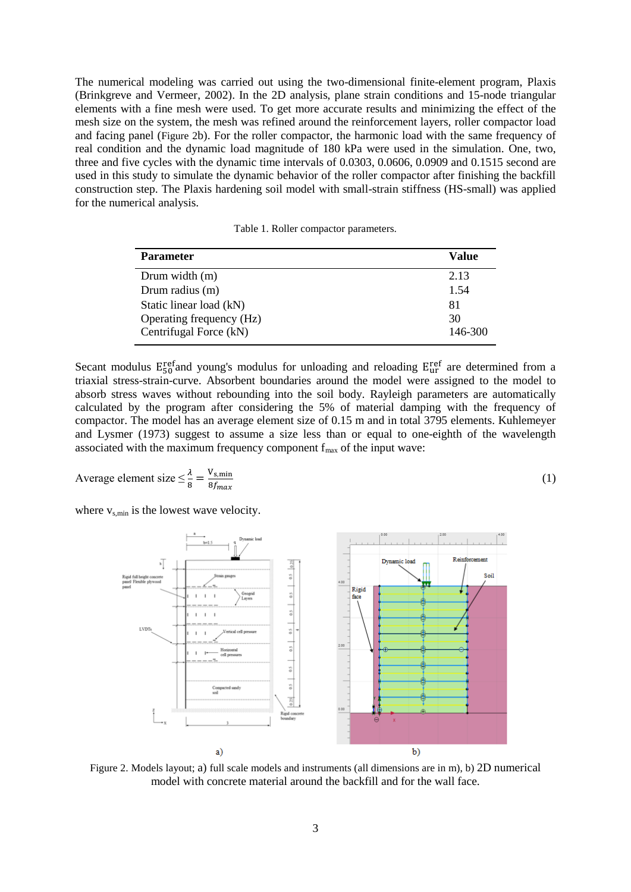The numerical modeling was carried out using the two-dimensional finite-element program, Plaxis (Brinkgreve and Vermeer, 2002). In the 2D analysis, plane strain conditions and 15-node triangular elements with a fine mesh were used. To get more accurate results and minimizing the effect of the mesh size on the system, the mesh was refined around the reinforcement layers, roller compactor load and facing panel ([Figure 2](#page-2-0)b). For the roller compactor, the harmonic load with the same frequency of real condition and the dynamic load magnitude of 180 kPa were used in the simulation. One, two, three and five cycles with the dynamic time intervals of 0.0303, 0.0606, 0.0909 and 0.1515 second are used in this study to simulate the dynamic behavior of the roller compactor after finishing the backfill construction step. The Plaxis hardening soil model with small-strain stiffness (HS-small) was applied for the numerical analysis.

Table 1. Roller compactor parameters.

<span id="page-2-1"></span>

| <b>Parameter</b>         | Value   |
|--------------------------|---------|
| Drum width $(m)$         | 2.13    |
| Drum radius (m)          | 1.54    |
| Static linear load (kN)  | 81      |
| Operating frequency (Hz) | 30      |
| Centrifugal Force (kN)   | 146-300 |

Secant modulus  $E_{50}^{\text{ref}}$  and young's modulus for unloading and reloading  $E_{ur}^{\text{ref}}$  are determined from a triaxial stress-strain-curve. Absorbent boundaries around the model were assigned to the model to absorb stress waves without rebounding into the soil body. Rayleigh parameters are automatically calculated by the program after considering the 5% of material damping with the frequency of compactor. The model has an average element size of 0.15 m and in total 3795 elements. Kuhlemeyer and Lysmer (1973) suggest to assume a size less than or equal to one-eighth of the wavelength associated with the maximum frequency component  $f_{\text{max}}$  of the input wave:

(1)

Average element size 
$$
\leq \frac{\lambda}{8} = \frac{V_{s,min}}{8f_{max}}
$$

where  $v_{s,min}$  is the lowest wave velocity.



<span id="page-2-0"></span>Figure 2. Models layout; a) full scale models and instruments (all dimensions are in m), b) 2D numerical model with concrete material around the backfill and for the wall face.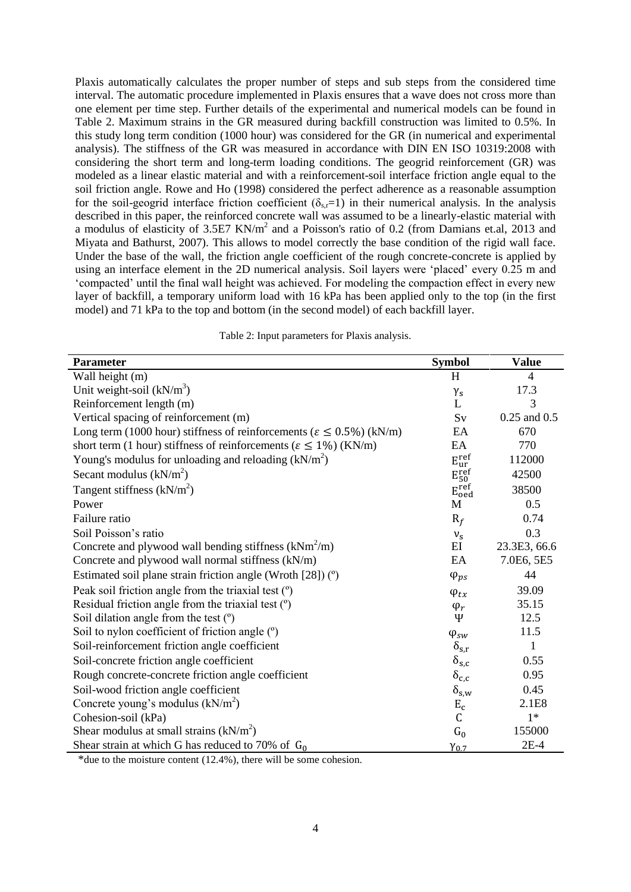Plaxis automatically calculates the proper number of steps and sub steps from the considered time interval. The automatic procedure implemented in Plaxis ensures that a wave does not cross more than one element per time step. Further details of the experimental and numerical models can be found in [Table 2.](#page-3-0) Maximum strains in the GR measured during backfill construction was limited to 0.5%. In this study long term condition (1000 hour) was considered for the GR (in numerical and experimental analysis). The stiffness of the GR was measured in accordance with DIN EN ISO 10319:2008 with considering the short term and long-term loading conditions. The geogrid reinforcement (GR) was modeled as a linear elastic material and with a reinforcement-soil interface friction angle equal to the soil friction angle. Rowe and Ho (1998) considered the perfect adherence as a reasonable assumption for the soil-geogrid interface friction coefficient ( $\delta_{\rm s,r}=1$ ) in their numerical analysis. In the analysis described in this paper, the reinforced concrete wall was assumed to be a linearly-elastic material with a modulus of elasticity of 3.5E7 KN/m<sup>2</sup> and a Poisson's ratio of 0.2 (from Damians et.al, 2013 and Miyata and Bathurst, 2007). This allows to model correctly the base condition of the rigid wall face. Under the base of the wall, the friction angle coefficient of the rough concrete-concrete is applied by using an interface element in the 2D numerical analysis. Soil layers were 'placed' every 0.25 m and 'compacted' until the final wall height was achieved. For modeling the compaction effect in every new layer of backfill, a temporary uniform load with 16 kPa has been applied only to the top (in the first model) and 71 kPa to the top and bottom (in the second model) of each backfill layer.

Table 2: Input parameters for Plaxis analysis.

<span id="page-3-0"></span>

| <b>Parameter</b>                                                                     | <b>Symbol</b>                 | <b>Value</b>     |
|--------------------------------------------------------------------------------------|-------------------------------|------------------|
| Wall height (m)                                                                      | H                             | $\overline{4}$   |
| Unit weight-soil $(kN/m^3)$                                                          |                               | 17.3             |
| Reinforcement length (m)                                                             | $\gamma_s$<br>L               | 3                |
| Vertical spacing of reinforcement (m)                                                | Sv                            | $0.25$ and $0.5$ |
| Long term (1000 hour) stiffness of reinforcements ( $\varepsilon \le 0.5\%$ ) (kN/m) | EA                            | 670              |
| short term (1 hour) stiffness of reinforcements ( $\varepsilon \le 1\%$ ) (KN/m)     | EA                            | 770              |
| Young's modulus for unloading and reloading $(kN/m^2)$                               | $E_{ur}^{ref}$                | 112000           |
| Secant modulus $(kN/m2)$                                                             | $\mathbf{E_{50}^{ref}}$       | 42500            |
| Tangent stiffness $(kN/m2)$                                                          | $E_{\text{oed}}^{\text{ref}}$ | 38500            |
| Power                                                                                | М                             | 0.5              |
| Failure ratio                                                                        | $R_f$                         | 0.74             |
| Soil Poisson's ratio                                                                 | $v_{\rm s}$                   | 0.3              |
| Concrete and plywood wall bending stiffness $(kNm^2/m)$                              | EI                            | 23.3E3, 66.6     |
| Concrete and plywood wall normal stiffness (kN/m)                                    | EA                            | 7.0E6, 5E5       |
| Estimated soil plane strain friction angle (Wroth $[28]$ ) ( $\degree$ )             | $\varphi_{ps}$                | 44               |
| Peak soil friction angle from the triaxial test (°)                                  | $\varphi_{tx}$                | 39.09            |
| Residual friction angle from the triaxial test (°)                                   | $\varphi_r$                   | 35.15            |
| Soil dilation angle from the test (°)                                                | Ψ                             | 12.5             |
| Soil to nylon coefficient of friction angle (°)                                      | $\varphi_{sw}$                | 11.5             |
| Soil-reinforcement friction angle coefficient                                        | $\delta_{s,r}$                | $\mathbf{1}$     |
| Soil-concrete friction angle coefficient                                             | $\delta_{\rm s,c}$            | 0.55             |
| Rough concrete-concrete friction angle coefficient                                   | $\delta_{c,c}$                | 0.95             |
| Soil-wood friction angle coefficient                                                 | $\delta_{s,w}$                | 0.45             |
| Concrete young's modulus (kN/m <sup>2</sup> )                                        | $\rm E_c$                     | 2.1E8            |
| Cohesion-soil (kPa)                                                                  | $\mathsf C$                   | $1*$             |
| Shear modulus at small strains $(kN/m2)$                                             | $G_0$                         | 155000           |
| Shear strain at which G has reduced to 70% of $G_0$                                  | $Y_{0.7}$                     | $2E-4$           |

\*due to the moisture content (12.4%), there will be some cohesion.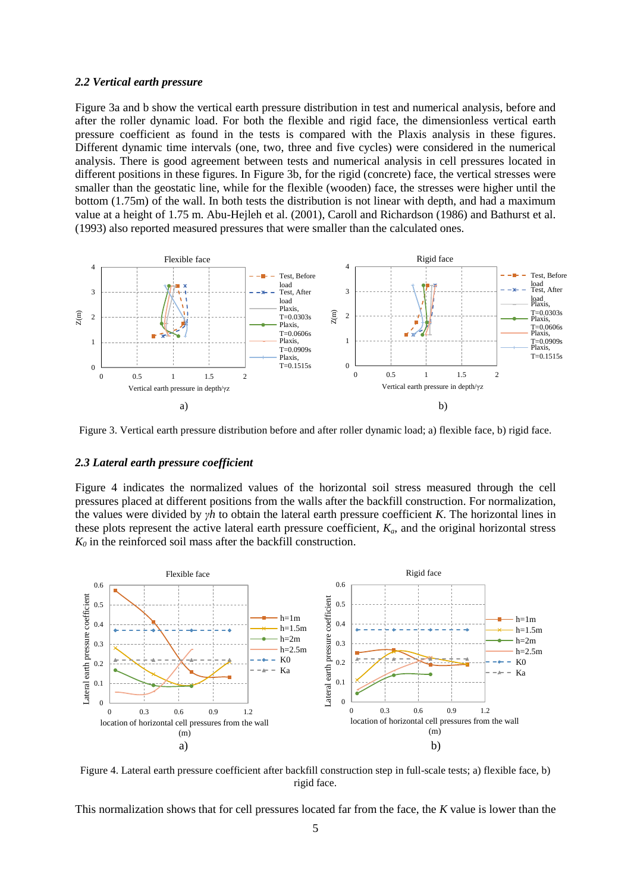#### *2.2 Vertical earth pressure*

[Figure 3a](#page-4-0) and b show the vertical earth pressure distribution in test and numerical analysis, before and after the roller dynamic load. For both the flexible and rigid face, the dimensionless vertical earth pressure coefficient as found in the tests is compared with the Plaxis analysis in these figures. Different dynamic time intervals (one, two, three and five cycles) were considered in the numerical analysis. There is good agreement between tests and numerical analysis in cell pressures located in different positions in these figures. In [Figure 3b](#page-4-1), for the rigid (concrete) face, the vertical stresses were smaller than the geostatic line, while for the flexible (wooden) face, the stresses were higher until the bottom (1.75m) of the wall. In both tests the distribution is not linear with depth, and had a maximum value at a height of 1.75 m. Abu-Hejleh et al. (2001), Caroll and Richardson (1986) and Bathurst et al. (1993) also reported measured pressures that were smaller than the calculated ones.



<span id="page-4-1"></span><span id="page-4-0"></span>Figure 3. Vertical earth pressure distribution before and after roller dynamic load; a) flexible face, b) rigid face.

#### *2.3 Lateral earth pressure coefficient*

[Figure 4](#page-4-2) indicates the normalized values of the horizontal soil stress measured through the cell pressures placed at different positions from the walls after the backfill construction. For normalization, the values were divided by *γh* to obtain the lateral earth pressure coefficient *K*. The horizontal lines in these plots represent the active lateral earth pressure coefficient,  $K_a$ , and the original horizontal stress *K<sup>0</sup>* in the reinforced soil mass after the backfill construction.



<span id="page-4-3"></span><span id="page-4-2"></span>Figure 4. Lateral earth pressure coefficient after backfill construction step in full-scale tests; a) flexible face, b) rigid face.

This normalization shows that for cell pressures located far from the face, the *K* value is lower than the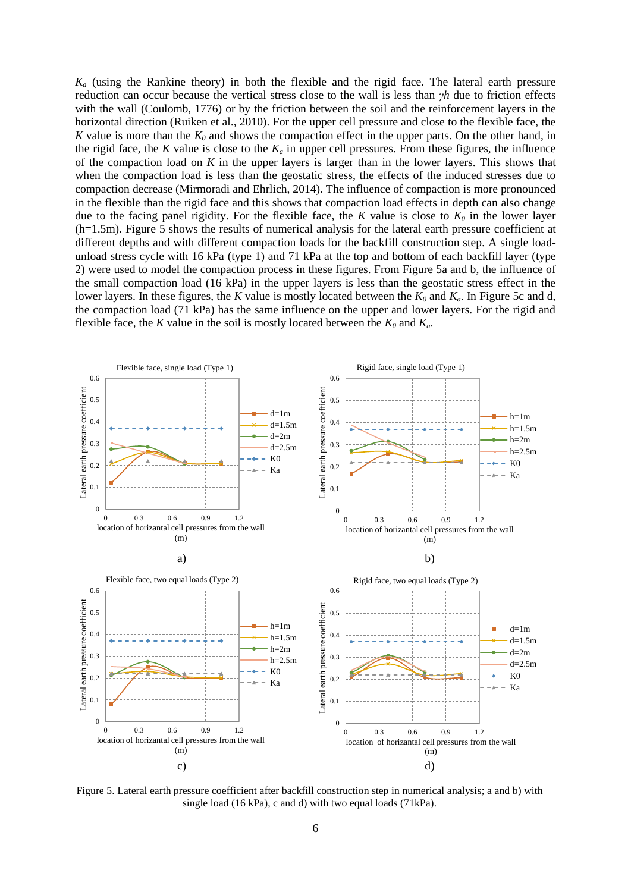$K_a$  (using the Rankine theory) in both the flexible and the rigid face. The lateral earth pressure reduction can occur because the vertical stress close to the wall is less than *γh* due to friction effects with the wall (Coulomb, 1776) or by the friction between the soil and the reinforcement layers in the horizontal direction (Ruiken et al., 2010). For the upper cell pressure and close to the flexible face, the *K* value is more than the  $K_0$  and shows the compaction effect in the upper parts. On the other hand, in the rigid face, the *K* value is close to the  $K_a$  in upper cell pressures. From these figures, the influence of the compaction load on *K* in the upper layers is larger than in the lower layers. This shows that when the compaction load is less than the geostatic stress, the effects of the induced stresses due to compaction decrease (Mirmoradi and Ehrlich, 2014). The influence of compaction is more pronounced in the flexible than the rigid face and this shows that compaction load effects in depth can also change due to the facing panel rigidity. For the flexible face, the *K* value is close to  $K_0$  in the lower layer (h=1.5m). [Figure 5](#page-5-0) shows the results of numerical analysis for the lateral earth pressure coefficient at different depths and with different compaction loads for the backfill construction step. A single loadunload stress cycle with 16 kPa (type 1) and 71 kPa at the top and bottom of each backfill layer (type 2) were used to model the compaction process in these figures. Fro[m Figure 5a](#page-5-0) and b, the influence of the small compaction load (16 kPa) in the upper layers is less than the geostatic stress effect in the lower layers. In these figures, the *K* value is mostly located between the  $K_0$  and  $K_a$ . In [Figure 5c](#page-5-0) and d, the compaction load (71 kPa) has the same influence on the upper and lower layers. For the rigid and flexible face, the *K* value in the soil is mostly located between the  $K_0$  and  $K_a$ .



<span id="page-5-0"></span>Figure 5. Lateral earth pressure coefficient after backfill construction step in numerical analysis; a and b) with single load (16 kPa), c and d) with two equal loads (71kPa).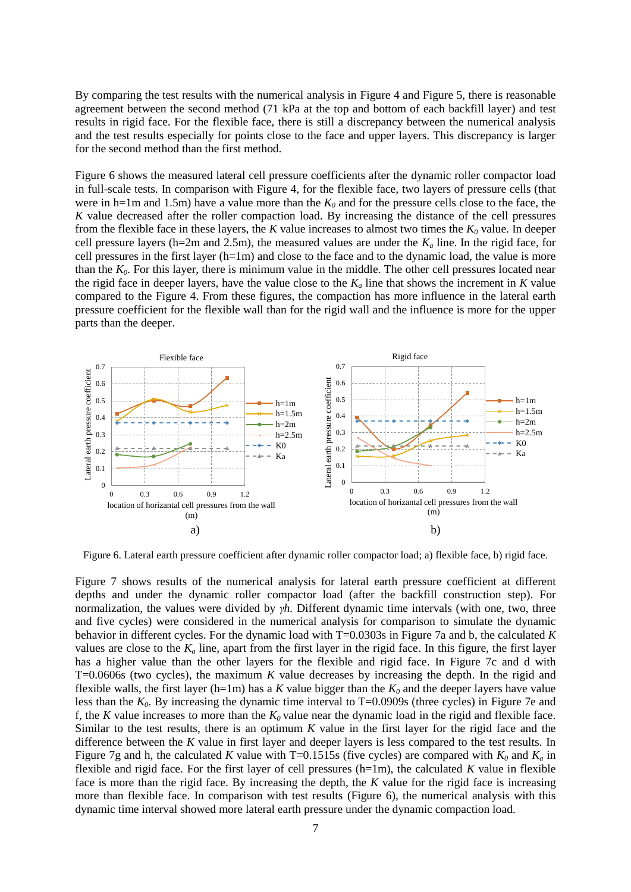By comparing the test results with the numerical analysis in [Figure 4](#page-4-3) and [Figure 5,](#page-5-0) there is reasonable agreement between the second method (71 kPa at the top and bottom of each backfill layer) and test results in rigid face. For the flexible face, there is still a discrepancy between the numerical analysis and the test results especially for points close to the face and upper layers. This discrepancy is larger for the second method than the first method.

[Figure 6](#page-6-0) shows the measured lateral cell pressure coefficients after the dynamic roller compactor load in full-scale tests. In comparison with [Figure 4,](#page-4-3) for the flexible face, two layers of pressure cells (that were in h=1m and 1.5m) have a value more than the  $K_0$  and for the pressure cells close to the face, the *K* value decreased after the roller compaction load. By increasing the distance of the cell pressures from the flexible face in these layers, the  $K$  value increases to almost two times the  $K_0$  value. In deeper cell pressure layers (h=2m and 2.5m), the measured values are under the  $K_a$  line. In the rigid face, for cell pressures in the first layer (h=1m) and close to the face and to the dynamic load, the value is more than the  $K_0$ . For this layer, there is minimum value in the middle. The other cell pressures located near the rigid face in deeper layers, have the value close to the  $K_a$  line that shows the increment in  $K$  value compared to the [Figure 4.](#page-4-3) From these figures, the compaction has more influence in the lateral earth pressure coefficient for the flexible wall than for the rigid wall and the influence is more for the upper parts than the deeper.



<span id="page-6-0"></span>Figure 6. Lateral earth pressure coefficient after dynamic roller compactor load; a) flexible face, b) rigid face.

[Figure 7](#page-7-0) shows results of the numerical analysis for lateral earth pressure coefficient at different depths and under the dynamic roller compactor load (after the backfill construction step). For normalization, the values were divided by *γh.* Different dynamic time intervals (with one, two, three and five cycles) were considered in the numerical analysis for comparison to simulate the dynamic behavior in different cycles. For the dynamic load with T=0.0303s i[n Figure 7a](#page-7-0) and b, the calculated *K* values are close to the  $K_a$  line, apart from the first layer in the rigid face. In this figure, the first layer has a higher value than the other layers for the flexible and rigid face. In [Figure 7c](#page-7-0) and d with T=0.0606s (two cycles), the maximum *K* value decreases by increasing the depth. In the rigid and flexible walls, the first layer (h=1m) has a *K* value bigger than the  $K_0$  and the deeper layers have value less than the  $K_0$ . By increasing the dynamic time interval to  $T=0.0909s$  (three cycles) in [Figure 7e](#page-7-0) and f, the *K* value increases to more than the  $K_0$  value near the dynamic load in the rigid and flexible face. Similar to the test results, there is an optimum *K* value in the first layer for the rigid face and the difference between the *K* value in first layer and deeper layers is less compared to the test results. In [Figure 7g](#page-7-0) and h, the calculated *K* value with T=0.1515s (five cycles) are compared with  $K_0$  and  $K_a$  in flexible and rigid face. For the first layer of cell pressures (h=1m), the calculated *K* value in flexible face is more than the rigid face. By increasing the depth, the *K* value for the rigid face is increasing more than flexible face. In comparison with test results [\(Figure 6\)](#page-6-0), the numerical analysis with this dynamic time interval showed more lateral earth pressure under the dynamic compaction load.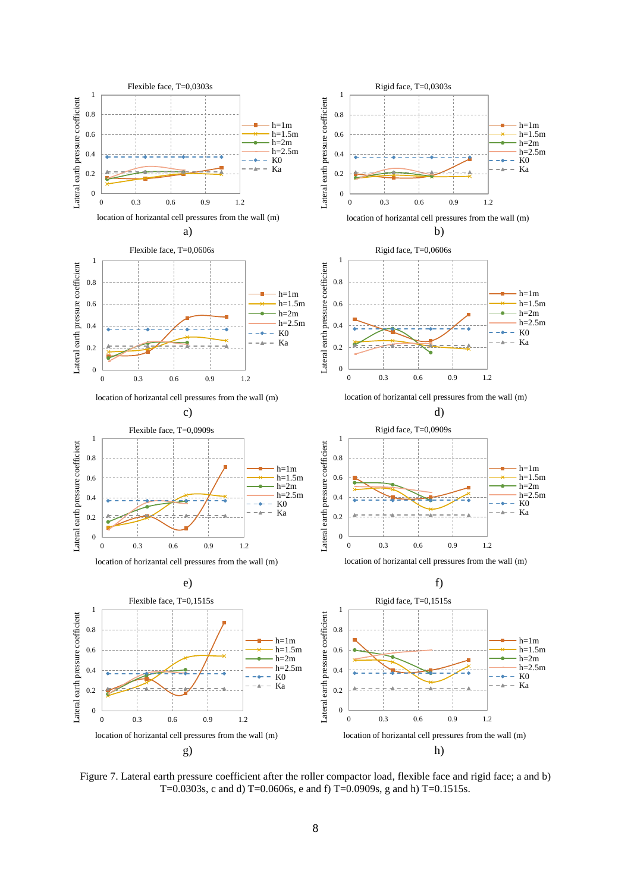

<span id="page-7-0"></span>Figure 7. Lateral earth pressure coefficient after the roller compactor load, flexible face and rigid face; a and b) T=0.0303s, c and d) T=0.0606s, e and f) T=0.0909s, g and h) T=0.1515s.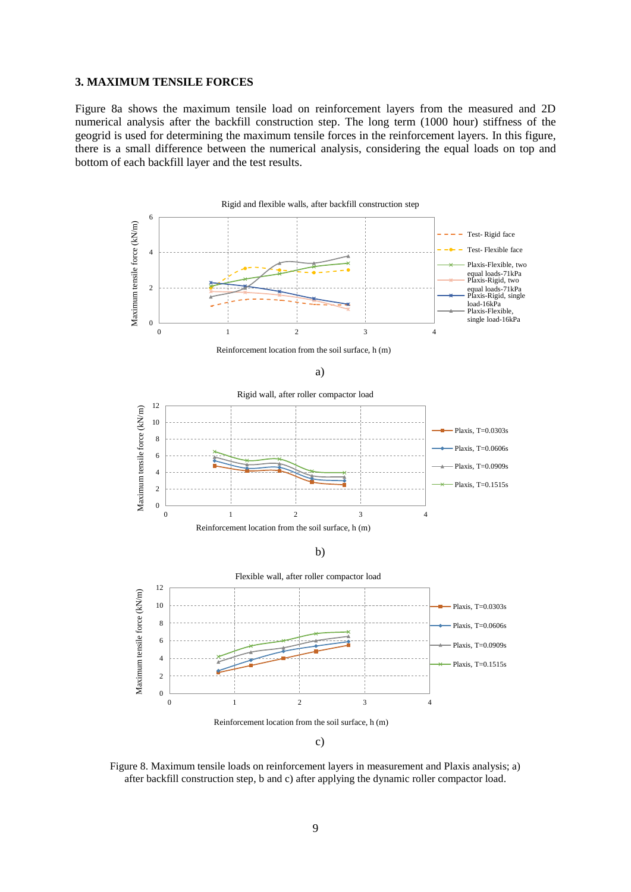# **3. MAXIMUM TENSILE FORCES**

[Figure 8a](#page-8-0) shows the maximum tensile load on reinforcement layers from the measured and 2D numerical analysis after the backfill construction step. The long term (1000 hour) stiffness of the geogrid is used for determining the maximum tensile forces in the reinforcement layers. In this figure, there is a small difference between the numerical analysis, considering the equal loads on top and bottom of each backfill layer and the test results.



c)

<span id="page-8-0"></span>Figure 8. Maximum tensile loads on reinforcement layers in measurement and Plaxis analysis; a) after backfill construction step, b and c) after applying the dynamic roller compactor load.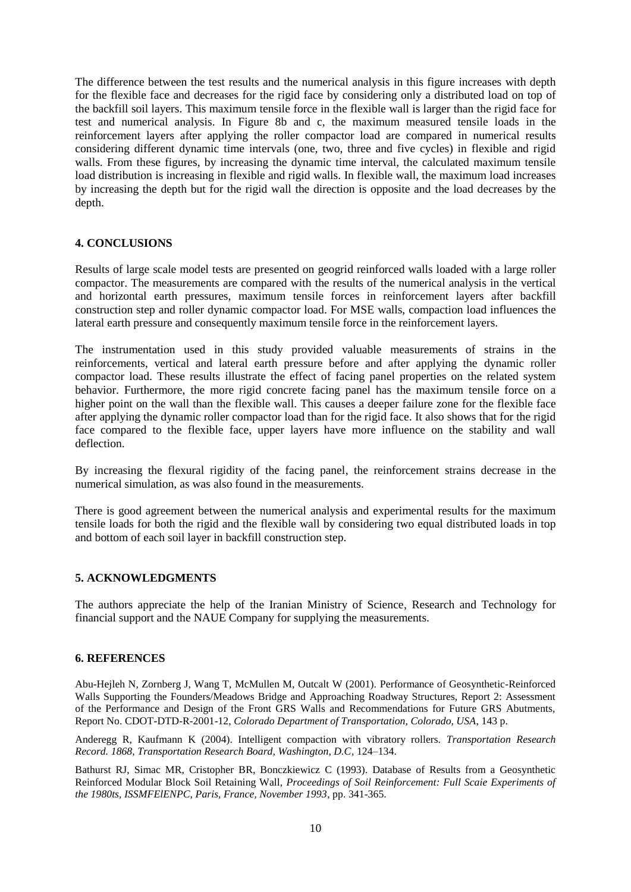The difference between the test results and the numerical analysis in this figure increases with depth for the flexible face and decreases for the rigid face by considering only a distributed load on top of the backfill soil layers. This maximum tensile force in the flexible wall is larger than the rigid face for test and numerical analysis. In [Figure 8b](#page-8-0) and c, the maximum measured tensile loads in the reinforcement layers after applying the roller compactor load are compared in numerical results considering different dynamic time intervals (one, two, three and five cycles) in flexible and rigid walls. From these figures, by increasing the dynamic time interval, the calculated maximum tensile load distribution is increasing in flexible and rigid walls. In flexible wall, the maximum load increases by increasing the depth but for the rigid wall the direction is opposite and the load decreases by the depth.

# **4. CONCLUSIONS**

Results of large scale model tests are presented on geogrid reinforced walls loaded with a large roller compactor. The measurements are compared with the results of the numerical analysis in the vertical and horizontal earth pressures, maximum tensile forces in reinforcement layers after backfill construction step and roller dynamic compactor load. For MSE walls, compaction load influences the lateral earth pressure and consequently maximum tensile force in the reinforcement layers.

The instrumentation used in this study provided valuable measurements of strains in the reinforcements, vertical and lateral earth pressure before and after applying the dynamic roller compactor load. These results illustrate the effect of facing panel properties on the related system behavior. Furthermore, the more rigid concrete facing panel has the maximum tensile force on a higher point on the wall than the flexible wall. This causes a deeper failure zone for the flexible face after applying the dynamic roller compactor load than for the rigid face. It also shows that for the rigid face compared to the flexible face, upper layers have more influence on the stability and wall deflection.

By increasing the flexural rigidity of the facing panel, the reinforcement strains decrease in the numerical simulation, as was also found in the measurements.

There is good agreement between the numerical analysis and experimental results for the maximum tensile loads for both the rigid and the flexible wall by considering two equal distributed loads in top and bottom of each soil layer in backfill construction step.

#### **5. ACKNOWLEDGMENTS**

The authors appreciate the help of the Iranian Ministry of Science*,* Research and Technology for financial support and the NAUE Company for supplying the measurements.

### **6. REFERENCES**

Abu-Hejleh N, Zornberg J, Wang T, McMullen M, Outcalt W (2001). Performance of Geosynthetic-Reinforced Walls Supporting the Founders/Meadows Bridge and Approaching Roadway Structures, Report 2: Assessment of the Performance and Design of the Front GRS Walls and Recommendations for Future GRS Abutments, Report No. CDOT-DTD-R-2001-12, *Colorado Department of Transportation, Colorado, USA*, 143 p.

Anderegg R, Kaufmann K (2004). Intelligent compaction with vibratory rollers. *Transportation Research Record. 1868, Transportation Research Board, Washington, D.C*, 124–134.

Bathurst RJ, Simac MR, Cristopher BR, Bonczkiewicz C (1993). Database of Results from a Geosynthetic Reinforced Modular Block Soil Retaining Wall, *Proceedings of Soil Reinforcement: Full Scaie Experiments of the 1980ts, ISSMFElENPC, Paris, France, November 1993*, pp. 341-365.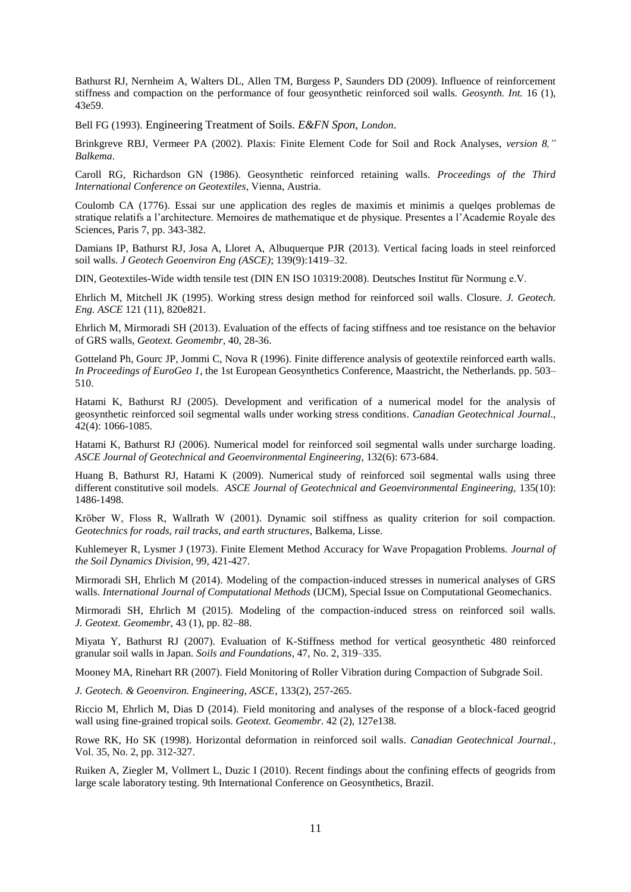Bathurst RJ, Nernheim A, Walters DL, Allen TM, Burgess P, Saunders DD (2009). Influence of reinforcement stiffness and compaction on the performance of four geosynthetic reinforced soil walls. *Geosynth. Int.* 16 (1), 43e59.

Bell FG (1993). Engineering Treatment of Soils. *E&FN Spon, London*.

Brinkgreve RBJ, Vermeer PA (2002). Plaxis: Finite Element Code for Soil and Rock Analyses, *version 8," Balkema*.

Caroll RG, Richardson GN (1986). Geosynthetic reinforced retaining walls. *Proceedings of the Third International Conference on Geotextiles*, Vienna, Austria.

Coulomb CA (1776). Essai sur une application des regles de maximis et minimis a quelqes problemas de stratique relatifs a l'architecture. Memoires de mathematique et de physique. Presentes a l'Academie Royale des Sciences, Paris 7, pp. 343-382.

Damians IP, Bathurst RJ, Josa A, Lloret A, Albuquerque PJR (2013). Vertical facing loads in steel reinforced soil walls. *J Geotech Geoenviron Eng (ASCE)*; 139(9):1419–32.

DIN, Geotextiles-Wide width tensile test (DIN EN ISO 10319:2008). Deutsches Institut für Normung e.V.

Ehrlich M, Mitchell JK (1995). Working stress design method for reinforced soil walls. Closure. *J. Geotech. Eng. ASCE* 121 (11), 820e821.

Ehrlich M, Mirmoradi SH (2013). Evaluation of the effects of facing stiffness and toe resistance on the behavior of GRS walls, *Geotext. Geomembr*, 40, 28-36.

Gotteland Ph, Gourc JP, Jommi C, Nova R (1996). Finite difference analysis of geotextile reinforced earth walls. *In Proceedings of EuroGeo 1*, the 1st European Geosynthetics Conference, Maastricht, the Netherlands. pp. 503– 510.

Hatami K, Bathurst RJ (2005). Development and verification of a numerical model for the analysis of geosynthetic reinforced soil segmental walls under working stress conditions. *Canadian Geotechnical Journal.,* 42(4): 1066-1085.

Hatami K, Bathurst RJ (2006). Numerical model for reinforced soil segmental walls under surcharge loading. *ASCE Journal of Geotechnical and Geoenvironmental Engineering,* 132(6): 673-684.

Huang B, Bathurst RJ, Hatami K (2009). Numerical study of reinforced soil segmental walls using three different constitutive soil models. *ASCE Journal of Geotechnical and Geoenvironmental Engineering,* 135(10): 1486-1498.

Kröber W, Floss R, Wallrath W (2001). Dynamic soil stiffness as quality criterion for soil compaction. *Geotechnics for roads, rail tracks, and earth structures*, Balkema, Lisse.

Kuhlemeyer R, Lysmer J (1973). Finite Element Method Accuracy for Wave Propagation Problems. *Journal of the Soil Dynamics Division*, 99, 421-427.

Mirmoradi SH, Ehrlich M (2014). Modeling of the compaction-induced stresses in numerical analyses of GRS walls. *International Journal of Computational Methods* (IJCM), Special Issue on Computational Geomechanics.

Mirmoradi SH, Ehrlich M (2015). Modeling of the compaction-induced stress on reinforced soil walls. *J. Geotext. Geomembr*, 43 (1), pp. 82–88.

Miyata Y, Bathurst RJ (2007). Evaluation of K-Stiffness method for vertical geosynthetic 480 reinforced granular soil walls in Japan. *Soils and Foundations,* 47, No. 2, 319–335.

Mooney MA, Rinehart RR (2007). Field Monitoring of Roller Vibration during Compaction of Subgrade Soil.

*J. Geotech. & Geoenviron. Engineering, ASCE*, 133(2), 257-265.

Riccio M, Ehrlich M, Dias D (2014). Field monitoring and analyses of the response of a block-faced geogrid wall using fine-grained tropical soils. *Geotext. Geomembr*. 42 (2), 127e138.

Rowe RK, Ho SK (1998). Horizontal deformation in reinforced soil walls. *Canadian Geotechnical Journal.*, Vol. 35, No. 2, pp. 312-327.

Ruiken A, Ziegler M, Vollmert L, Duzic I (2010). Recent findings about the confining effects of geogrids from large scale laboratory testing. 9th International Conference on Geosynthetics, Brazil.